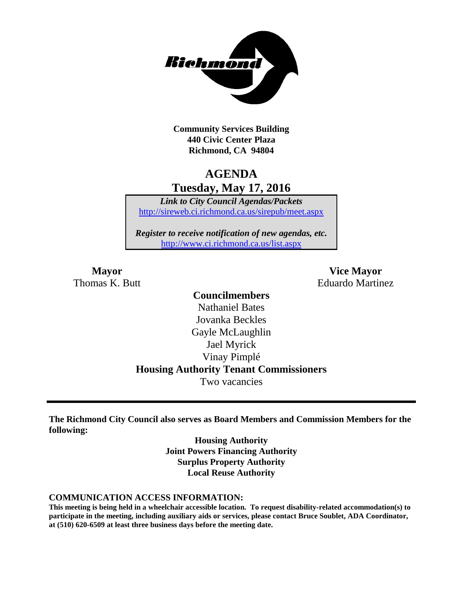

**Community Services Building 440 Civic Center Plaza Richmond, CA 94804**

# **AGENDA Tuesday, May 17, 2016**

*Link to City Council Agendas/Packets* <http://sireweb.ci.richmond.ca.us/sirepub/meet.aspx>

*Register to receive notification of new agendas, etc.* <http://www.ci.richmond.ca.us/list.aspx>

**Mayor Vice Mayor** Thomas K. Butt **Eduardo Martinez** 

### **Councilmembers** Nathaniel Bates Jovanka Beckles Gayle McLaughlin Jael Myrick Vinay Pimplé **Housing Authority Tenant Commissioners** Two vacancies

**The Richmond City Council also serves as Board Members and Commission Members for the following:**

> **Housing Authority Joint Powers Financing Authority Surplus Property Authority Local Reuse Authority**

#### **COMMUNICATION ACCESS INFORMATION:**

**This meeting is being held in a wheelchair accessible location. To request disability-related accommodation(s) to participate in the meeting, including auxiliary aids or services, please contact Bruce Soublet, ADA Coordinator, at (510) 620-6509 at least three business days before the meeting date.**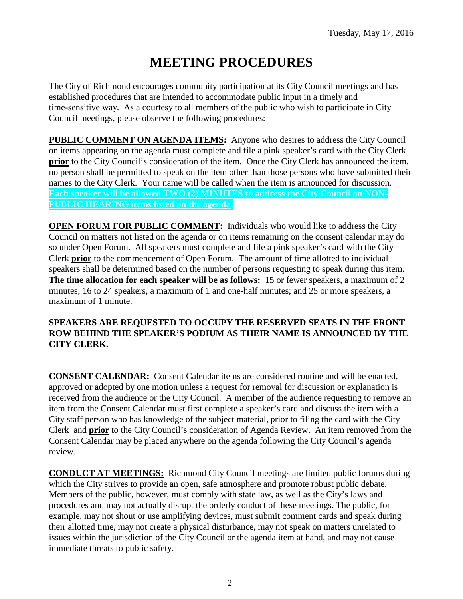# **MEETING PROCEDURES**

The City of Richmond encourages community participation at its City Council meetings and has established procedures that are intended to accommodate public input in a timely and time-sensitive way. As a courtesy to all members of the public who wish to participate in City Council meetings, please observe the following procedures:

**PUBLIC COMMENT ON AGENDA ITEMS:** Anyone who desires to address the City Council on items appearing on the agenda must complete and file a pink speaker's card with the City Clerk **prior** to the City Council's consideration of the item. Once the City Clerk has announced the item, no person shall be permitted to speak on the item other than those persons who have submitted their names to the City Clerk. Your name will be called when the item is announced for discussion. **Each speaker will be allowed TWO (2) MINUTES to address the City Council on NON-PUBLIC HEARING items listed on the agenda.**

**OPEN FORUM FOR PUBLIC COMMENT:** Individuals who would like to address the City Council on matters not listed on the agenda or on items remaining on the consent calendar may do so under Open Forum. All speakers must complete and file a pink speaker's card with the City Clerk **prior** to the commencement of Open Forum. The amount of time allotted to individual speakers shall be determined based on the number of persons requesting to speak during this item. **The time allocation for each speaker will be as follows:** 15 or fewer speakers, a maximum of 2 minutes; 16 to 24 speakers, a maximum of 1 and one-half minutes; and 25 or more speakers, a maximum of 1 minute.

#### **SPEAKERS ARE REQUESTED TO OCCUPY THE RESERVED SEATS IN THE FRONT ROW BEHIND THE SPEAKER'S PODIUM AS THEIR NAME IS ANNOUNCED BY THE CITY CLERK.**

**CONSENT CALENDAR:** Consent Calendar items are considered routine and will be enacted, approved or adopted by one motion unless a request for removal for discussion or explanation is received from the audience or the City Council. A member of the audience requesting to remove an item from the Consent Calendar must first complete a speaker's card and discuss the item with a City staff person who has knowledge of the subject material, prior to filing the card with the City Clerk and **prior** to the City Council's consideration of Agenda Review. An item removed from the Consent Calendar may be placed anywhere on the agenda following the City Council's agenda review.

**CONDUCT AT MEETINGS:** Richmond City Council meetings are limited public forums during which the City strives to provide an open, safe atmosphere and promote robust public debate. Members of the public, however, must comply with state law, as well as the City's laws and procedures and may not actually disrupt the orderly conduct of these meetings. The public, for example, may not shout or use amplifying devices, must submit comment cards and speak during their allotted time, may not create a physical disturbance, may not speak on matters unrelated to issues within the jurisdiction of the City Council or the agenda item at hand, and may not cause immediate threats to public safety.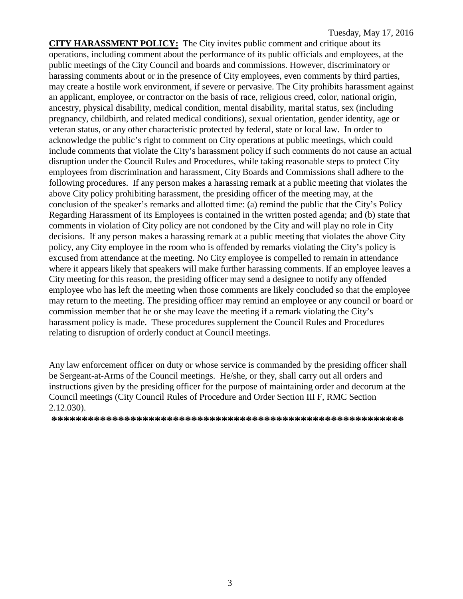**CITY HARASSMENT POLICY:** The City invites public comment and critique about its operations, including comment about the performance of its public officials and employees, at the public meetings of the City Council and boards and commissions. However, discriminatory or harassing comments about or in the presence of City employees, even comments by third parties, may create a hostile work environment, if severe or pervasive. The City prohibits harassment against an applicant, employee, or contractor on the basis of race, religious creed, color, national origin, ancestry, physical disability, medical condition, mental disability, marital status, sex (including pregnancy, childbirth, and related medical conditions), sexual orientation, gender identity, age or veteran status, or any other characteristic protected by federal, state or local law. In order to acknowledge the public's right to comment on City operations at public meetings, which could include comments that violate the City's harassment policy if such comments do not cause an actual disruption under the Council Rules and Procedures, while taking reasonable steps to protect City employees from discrimination and harassment, City Boards and Commissions shall adhere to the following procedures. If any person makes a harassing remark at a public meeting that violates the above City policy prohibiting harassment, the presiding officer of the meeting may, at the conclusion of the speaker's remarks and allotted time: (a) remind the public that the City's Policy Regarding Harassment of its Employees is contained in the written posted agenda; and (b) state that comments in violation of City policy are not condoned by the City and will play no role in City decisions. If any person makes a harassing remark at a public meeting that violates the above City policy, any City employee in the room who is offended by remarks violating the City's policy is excused from attendance at the meeting. No City employee is compelled to remain in attendance where it appears likely that speakers will make further harassing comments. If an employee leaves a City meeting for this reason, the presiding officer may send a designee to notify any offended employee who has left the meeting when those comments are likely concluded so that the employee may return to the meeting. The presiding officer may remind an employee or any council or board or commission member that he or she may leave the meeting if a remark violating the City's harassment policy is made. These procedures supplement the Council Rules and Procedures relating to disruption of orderly conduct at Council meetings.

Any law enforcement officer on duty or whose service is commanded by the presiding officer shall be Sergeant-at-Arms of the Council meetings. He/she, or they, shall carry out all orders and instructions given by the presiding officer for the purpose of maintaining order and decorum at the Council meetings (City Council Rules of Procedure and Order Section III F, RMC Section 2.12.030).

**\*\*\*\*\*\*\*\*\*\*\*\*\*\*\*\*\*\*\*\*\*\*\*\*\*\*\*\*\*\*\*\*\*\*\*\*\*\*\*\*\*\*\*\*\*\*\*\*\*\*\*\*\*\*\*\*\*\***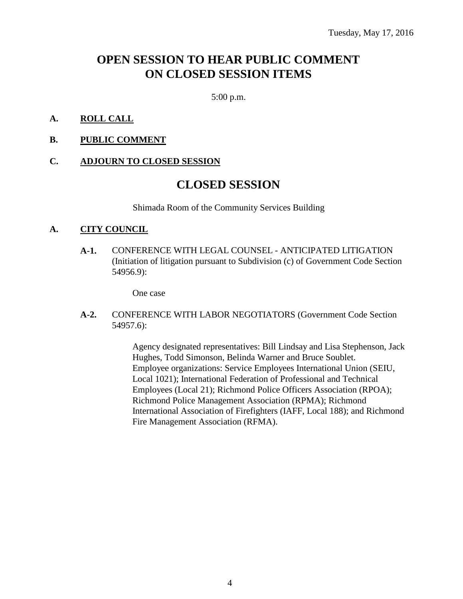## **OPEN SESSION TO HEAR PUBLIC COMMENT ON CLOSED SESSION ITEMS**

5:00 p.m.

#### **A. ROLL CALL**

**B. PUBLIC COMMENT**

#### **C. ADJOURN TO CLOSED SESSION**

### **CLOSED SESSION**

Shimada Room of the Community Services Building

#### **A. CITY COUNCIL**

**A-1.** CONFERENCE WITH LEGAL COUNSEL - ANTICIPATED LITIGATION (Initiation of litigation pursuant to Subdivision (c) of Government Code Section 54956.9):

One case

**A-2.** CONFERENCE WITH LABOR NEGOTIATORS (Government Code Section 54957.6):

> Agency designated representatives: Bill Lindsay and Lisa Stephenson, Jack Hughes, Todd Simonson, Belinda Warner and Bruce Soublet. Employee organizations: Service Employees International Union (SEIU, Local 1021); International Federation of Professional and Technical Employees (Local 21); Richmond Police Officers Association (RPOA); Richmond Police Management Association (RPMA); Richmond International Association of Firefighters (IAFF, Local 188); and Richmond Fire Management Association (RFMA).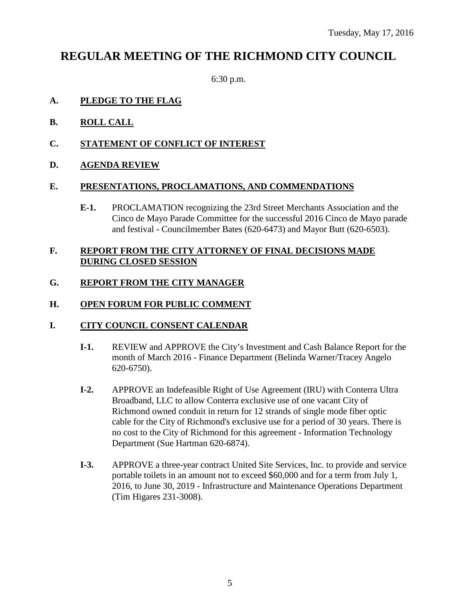## **REGULAR MEETING OF THE RICHMOND CITY COUNCIL**

6:30 p.m.

#### **A. PLEDGE TO THE FLAG**

- **B. ROLL CALL**
- **C. STATEMENT OF CONFLICT OF INTEREST**
- **D. AGENDA REVIEW**

#### **E. PRESENTATIONS, PROCLAMATIONS, AND COMMENDATIONS**

**E-1.** PROCLAMATION recognizing the 23rd Street Merchants Association and the Cinco de Mayo Parade Committee for the successful 2016 Cinco de Mayo parade and festival - Councilmember Bates (620-6473) and Mayor Butt (620-6503).

#### **F. REPORT FROM THE CITY ATTORNEY OF FINAL DECISIONS MADE DURING CLOSED SESSION**

#### **G. REPORT FROM THE CITY MANAGER**

#### **H. OPEN FORUM FOR PUBLIC COMMENT**

#### **I. CITY COUNCIL CONSENT CALENDAR**

- **I-1.** REVIEW and APPROVE the City's Investment and Cash Balance Report for the month of March 2016 - Finance Department (Belinda Warner/Tracey Angelo 620-6750).
- **I-2.** APPROVE an Indefeasible Right of Use Agreement (IRU) with Conterra Ultra Broadband, LLC to allow Conterra exclusive use of one vacant City of Richmond owned conduit in return for 12 strands of single mode fiber optic cable for the City of Richmond's exclusive use for a period of 30 years. There is no cost to the City of Richmond for this agreement - Information Technology Department (Sue Hartman 620-6874).
- **I-3.** APPROVE a three-year contract United Site Services, Inc. to provide and service portable toilets in an amount not to exceed \$60,000 and for a term from July 1, 2016, to June 30, 2019 - Infrastructure and Maintenance Operations Department (Tim Higares 231-3008).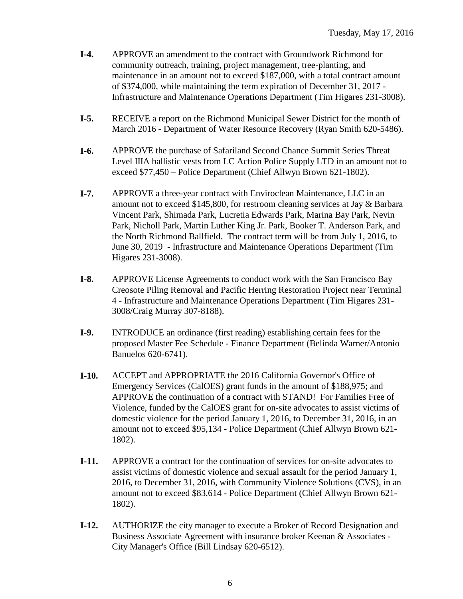- **I-4.** APPROVE an amendment to the contract with Groundwork Richmond for community outreach, training, project management, tree-planting, and maintenance in an amount not to exceed \$187,000, with a total contract amount of \$374,000, while maintaining the term expiration of December 31, 2017 - Infrastructure and Maintenance Operations Department (Tim Higares 231-3008).
- **I-5.** RECEIVE a report on the Richmond Municipal Sewer District for the month of March 2016 - Department of Water Resource Recovery (Ryan Smith 620-5486).
- **I-6.** APPROVE the purchase of Safariland Second Chance Summit Series Threat Level IIIA ballistic vests from LC Action Police Supply LTD in an amount not to exceed \$77,450 – Police Department (Chief Allwyn Brown 621-1802).
- **I-7.** APPROVE a three-year contract with Enviroclean Maintenance, LLC in an amount not to exceed \$145,800, for restroom cleaning services at Jay & Barbara Vincent Park, Shimada Park, Lucretia Edwards Park, Marina Bay Park, Nevin Park, Nicholl Park, Martin Luther King Jr. Park, Booker T. Anderson Park, and the North Richmond Ballfield. The contract term will be from July 1, 2016, to June 30, 2019 - Infrastructure and Maintenance Operations Department (Tim Higares 231-3008).
- **I-8.** APPROVE License Agreements to conduct work with the San Francisco Bay Creosote Piling Removal and Pacific Herring Restoration Project near Terminal 4 - Infrastructure and Maintenance Operations Department (Tim Higares 231- 3008/Craig Murray 307-8188).
- **I-9.** INTRODUCE an ordinance (first reading) establishing certain fees for the proposed Master Fee Schedule - Finance Department (Belinda Warner/Antonio Banuelos 620-6741).
- **I-10.** ACCEPT and APPROPRIATE the 2016 California Governor's Office of Emergency Services (CalOES) grant funds in the amount of \$188,975; and APPROVE the continuation of a contract with STAND! For Families Free of Violence, funded by the CalOES grant for on-site advocates to assist victims of domestic violence for the period January 1, 2016, to December 31, 2016, in an amount not to exceed \$95,134 - Police Department (Chief Allwyn Brown 621- 1802).
- **I-11.** APPROVE a contract for the continuation of services for on-site advocates to assist victims of domestic violence and sexual assault for the period January 1, 2016, to December 31, 2016, with Community Violence Solutions (CVS), in an amount not to exceed \$83,614 - Police Department (Chief Allwyn Brown 621- 1802).
- **I-12.** AUTHORIZE the city manager to execute a Broker of Record Designation and Business Associate Agreement with insurance broker Keenan & Associates - City Manager's Office (Bill Lindsay 620-6512).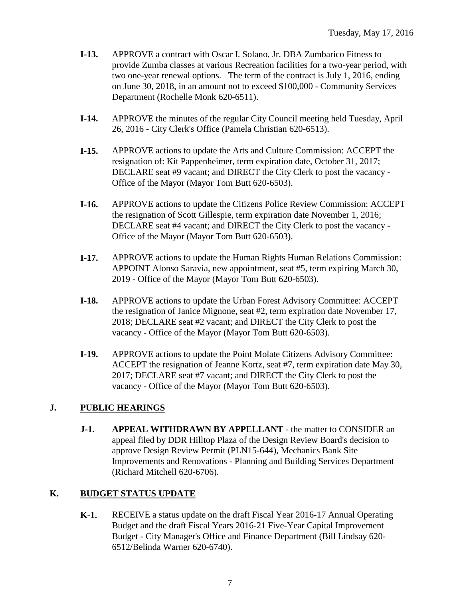- **I-13.** APPROVE a contract with Oscar I. Solano, Jr. DBA Zumbarico Fitness to provide Zumba classes at various Recreation facilities for a two-year period, with two one-year renewal options. The term of the contract is July 1, 2016, ending on June 30, 2018, in an amount not to exceed \$100,000 - Community Services Department (Rochelle Monk 620-6511).
- **I-14.** APPROVE the minutes of the regular City Council meeting held Tuesday, April 26, 2016 - City Clerk's Office (Pamela Christian 620-6513).
- **I-15.** APPROVE actions to update the Arts and Culture Commission: ACCEPT the resignation of: Kit Pappenheimer, term expiration date, October 31, 2017; DECLARE seat #9 vacant; and DIRECT the City Clerk to post the vacancy - Office of the Mayor (Mayor Tom Butt 620-6503).
- **I-16.** APPROVE actions to update the Citizens Police Review Commission: ACCEPT the resignation of Scott Gillespie, term expiration date November 1, 2016; DECLARE seat #4 vacant; and DIRECT the City Clerk to post the vacancy - Office of the Mayor (Mayor Tom Butt 620-6503).
- **I-17.** APPROVE actions to update the Human Rights Human Relations Commission: APPOINT Alonso Saravia, new appointment, seat #5, term expiring March 30, 2019 - Office of the Mayor (Mayor Tom Butt 620-6503).
- **I-18.** APPROVE actions to update the Urban Forest Advisory Committee: ACCEPT the resignation of Janice Mignone, seat #2, term expiration date November 17, 2018; DECLARE seat #2 vacant; and DIRECT the City Clerk to post the vacancy - Office of the Mayor (Mayor Tom Butt 620-6503).
- **I-19.** APPROVE actions to update the Point Molate Citizens Advisory Committee: ACCEPT the resignation of Jeanne Kortz, seat #7, term expiration date May 30, 2017; DECLARE seat #7 vacant; and DIRECT the City Clerk to post the vacancy - Office of the Mayor (Mayor Tom Butt 620-6503).

#### **J. PUBLIC HEARINGS**

**J-1. APPEAL WITHDRAWN BY APPELLANT** - the matter to CONSIDER an appeal filed by DDR Hilltop Plaza of the Design Review Board's decision to approve Design Review Permit (PLN15-644), Mechanics Bank Site Improvements and Renovations - Planning and Building Services Department (Richard Mitchell 620-6706).

#### **K. BUDGET STATUS UPDATE**

**K-1.** RECEIVE a status update on the draft Fiscal Year 2016-17 Annual Operating Budget and the draft Fiscal Years 2016-21 Five-Year Capital Improvement Budget - City Manager's Office and Finance Department (Bill Lindsay 620- 6512/Belinda Warner 620-6740).